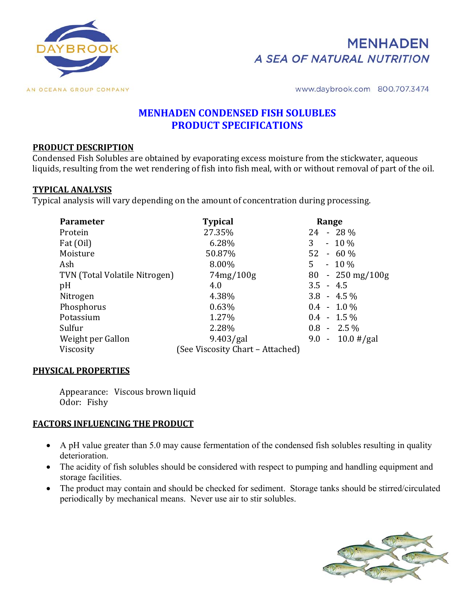



www.daybrook.com 800.707.3474

# **MENHADEN CONDENSED FISH SOLUBLES PRODUCT SPECIFICATIONS**

### **PRODUCT DESCRIPTION**

Condensed Fish Solubles are obtained by evaporating excess moisture from the stickwater, aqueous liquids, resulting from the wet rendering of fish into fish meal, with or without removal of part of the oil.

#### **TYPICAL ANALYSIS**

Typical analysis will vary depending on the amount of concentration during processing.

| <b>Parameter</b>              | <b>Typical</b>                  | Range                |
|-------------------------------|---------------------------------|----------------------|
| Protein                       | 27.35%                          | 24<br>$-28\%$        |
| Fat (Oil)                     | 6.28%                           | 3<br>$-10\%$         |
| Moisture                      | 50.87%                          | 52<br>$-60%$         |
| Ash                           | 8.00%                           | 5<br>$-10%$          |
| TVN (Total Volatile Nitrogen) | 74mg/100g                       | $-250$ mg/100g<br>80 |
| pH                            | 4.0                             | $3.5 - 4.5$          |
| Nitrogen                      | 4.38%                           | $3.8 - 4.5\%$        |
| Phosphorus                    | 0.63%                           | $0.4 - 1.0\%$        |
| Potassium                     | 1.27%                           | $0.4 - 1.5\%$        |
| Sulfur                        | 2.28%                           | $0.8 - 2.5\%$        |
| Weight per Gallon             | 9.403/gal                       | $9.0 - 10.0$ #/gal   |
| Viscosity                     | See Viscosity Chart - Attached) |                      |

### **PHYSICAL PROPERTIES**

 Appearance: Viscous brown liquid Odor: Fishy

### **FACTORS INFLUENCING THE PRODUCT**

- A pH value greater than 5.0 may cause fermentation of the condensed fish solubles resulting in quality deterioration.
- The acidity of fish solubles should be considered with respect to pumping and handling equipment and storage facilities.
- The product may contain and should be checked for sediment. Storage tanks should be stirred/circulated periodically by mechanical means. Never use air to stir solubles.